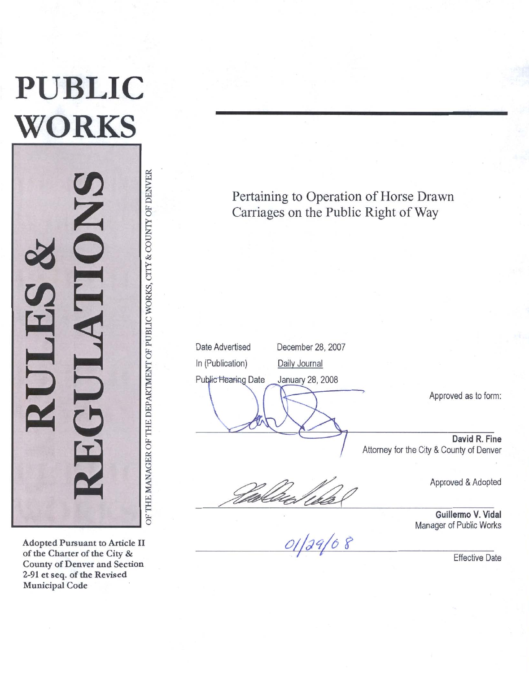

**Adopted Pursuant to Article II** of the Charter of the City & **County of Denver and Section** 2-91 et seq. of the Revised **Municipal Code** 

Pertaining to Operation of Horse Drawn Carriages on the Public Right of Way

Date Advertised December 28, 2007 In (Publication) Daily Journal Public Hearing Date January 28, 2008

Approved as to form:

David R. Fine Attorney for the City & County of Denver

Approved & Adopted

Guillermo V. Vidal Manager of Public Works

 $129/08$ 

**Effective Date**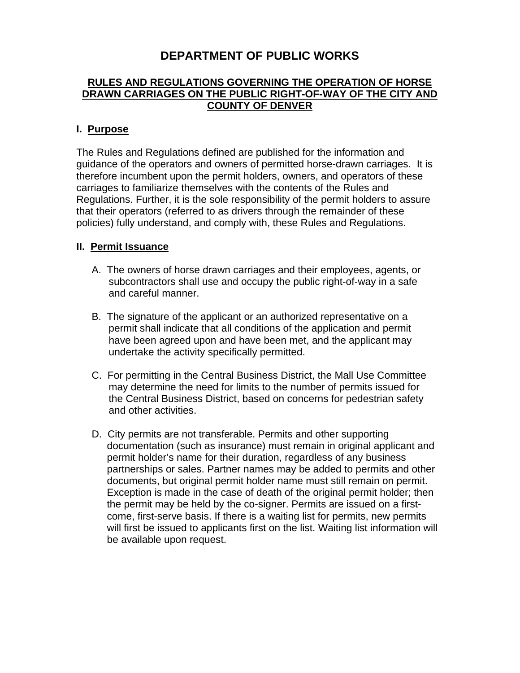# **DEPARTMENT OF PUBLIC WORKS**

#### **RULES AND REGULATIONS GOVERNING THE OPERATION OF HORSE DRAWN CARRIAGES ON THE PUBLIC RIGHT-OF-WAY OF THE CITY AND COUNTY OF DENVER**

# **I. Purpose**

The Rules and Regulations defined are published for the information and guidance of the operators and owners of permitted horse-drawn carriages. It is therefore incumbent upon the permit holders, owners, and operators of these carriages to familiarize themselves with the contents of the Rules and Regulations. Further, it is the sole responsibility of the permit holders to assure that their operators (referred to as drivers through the remainder of these policies) fully understand, and comply with, these Rules and Regulations.

## **II. Permit Issuance**

- A. The owners of horse drawn carriages and their employees, agents, or subcontractors shall use and occupy the public right-of-way in a safe and careful manner.
- B. The signature of the applicant or an authorized representative on a permit shall indicate that all conditions of the application and permit have been agreed upon and have been met, and the applicant may undertake the activity specifically permitted.
- C. For permitting in the Central Business District, the Mall Use Committee may determine the need for limits to the number of permits issued for the Central Business District, based on concerns for pedestrian safety and other activities.
- D. City permits are not transferable. Permits and other supporting documentation (such as insurance) must remain in original applicant and permit holder's name for their duration, regardless of any business partnerships or sales. Partner names may be added to permits and other documents, but original permit holder name must still remain on permit. Exception is made in the case of death of the original permit holder; then the permit may be held by the co-signer. Permits are issued on a firstcome, first-serve basis. If there is a waiting list for permits, new permits will first be issued to applicants first on the list. Waiting list information will be available upon request.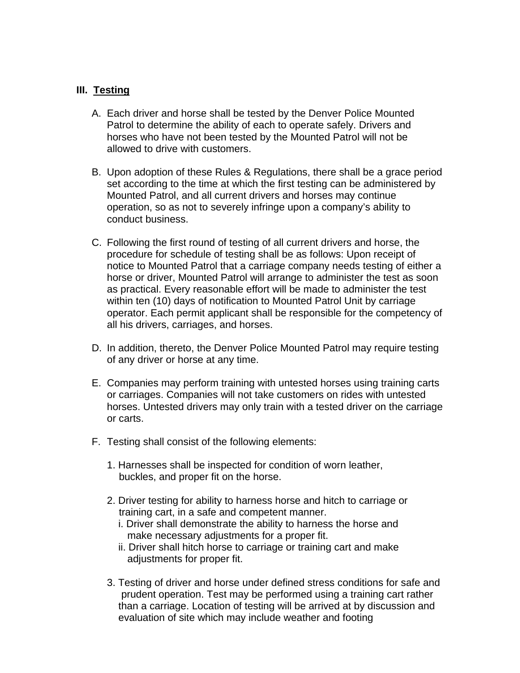# **III. Testing**

- A. Each driver and horse shall be tested by the Denver Police Mounted Patrol to determine the ability of each to operate safely. Drivers and horses who have not been tested by the Mounted Patrol will not be allowed to drive with customers.
- B. Upon adoption of these Rules & Regulations, there shall be a grace period set according to the time at which the first testing can be administered by Mounted Patrol, and all current drivers and horses may continue operation, so as not to severely infringe upon a company's ability to conduct business.
- C. Following the first round of testing of all current drivers and horse, the procedure for schedule of testing shall be as follows: Upon receipt of notice to Mounted Patrol that a carriage company needs testing of either a horse or driver, Mounted Patrol will arrange to administer the test as soon as practical. Every reasonable effort will be made to administer the test within ten (10) days of notification to Mounted Patrol Unit by carriage operator. Each permit applicant shall be responsible for the competency of all his drivers, carriages, and horses.
- D. In addition, thereto, the Denver Police Mounted Patrol may require testing of any driver or horse at any time.
- E. Companies may perform training with untested horses using training carts or carriages. Companies will not take customers on rides with untested horses. Untested drivers may only train with a tested driver on the carriage or carts.
- F. Testing shall consist of the following elements:
	- 1. Harnesses shall be inspected for condition of worn leather, buckles, and proper fit on the horse.
	- 2. Driver testing for ability to harness horse and hitch to carriage or training cart, in a safe and competent manner.
		- i. Driver shall demonstrate the ability to harness the horse and make necessary adjustments for a proper fit.
		- ii. Driver shall hitch horse to carriage or training cart and make adjustments for proper fit.
	- 3. Testing of driver and horse under defined stress conditions for safe and prudent operation. Test may be performed using a training cart rather than a carriage. Location of testing will be arrived at by discussion and evaluation of site which may include weather and footing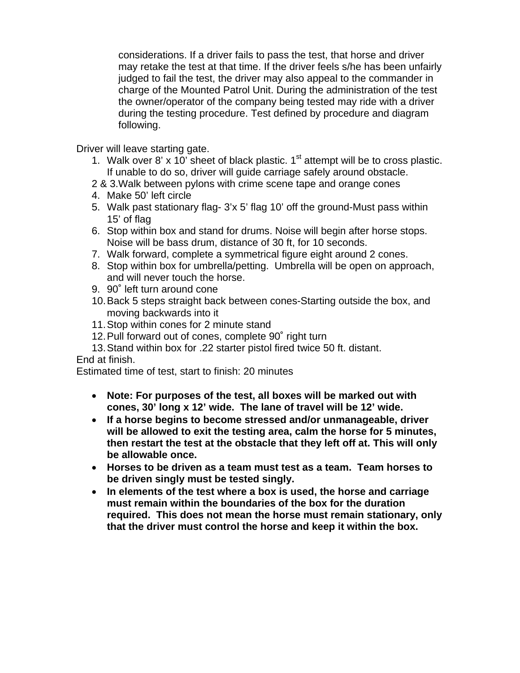considerations. If a driver fails to pass the test, that horse and driver may retake the test at that time. If the driver feels s/he has been unfairly judged to fail the test, the driver may also appeal to the commander in charge of the Mounted Patrol Unit. During the administration of the test the owner/operator of the company being tested may ride with a driver during the testing procedure. Test defined by procedure and diagram following.

Driver will leave starting gate.

- 1. Walk over 8' x 10' sheet of black plastic.  $1<sup>st</sup>$  attempt will be to cross plastic. If unable to do so, driver will guide carriage safely around obstacle.
- 2 & 3.Walk between pylons with crime scene tape and orange cones
- 4. Make 50' left circle
- 5. Walk past stationary flag- 3'x 5' flag 10' off the ground-Must pass within 15' of flag
- 6. Stop within box and stand for drums. Noise will begin after horse stops. Noise will be bass drum, distance of 30 ft, for 10 seconds.
- 7. Walk forward, complete a symmetrical figure eight around 2 cones.
- 8. Stop within box for umbrella/petting. Umbrella will be open on approach, and will never touch the horse.
- 9. 90˚ left turn around cone
- 10. Back 5 steps straight back between cones-Starting outside the box, and moving backwards into it
- 11. Stop within cones for 2 minute stand
- 12. Pull forward out of cones, complete 90˚ right turn
- 13. Stand within box for .22 starter pistol fired twice 50 ft. distant.

# End at finish.

Estimated time of test, start to finish: 20 minutes

- **Note: For purposes of the test, all boxes will be marked out with cones, 30' long x 12' wide. The lane of travel will be 12' wide.**
- **If a horse begins to become stressed and/or unmanageable, driver will be allowed to exit the testing area, calm the horse for 5 minutes, then restart the test at the obstacle that they left off at. This will only be allowable once.**
- **Horses to be driven as a team must test as a team. Team horses to be driven singly must be tested singly.**
- **In elements of the test where a box is used, the horse and carriage must remain within the boundaries of the box for the duration required. This does not mean the horse must remain stationary, only that the driver must control the horse and keep it within the box.**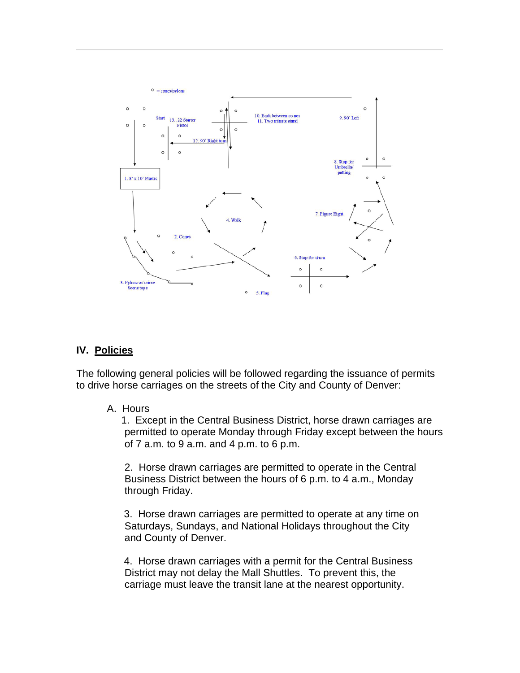

## **IV. Policies**

The following general policies will be followed regarding the issuance of permits to drive horse carriages on the streets of the City and County of Denver:

## A. Hours

 1. Except in the Central Business District, horse drawn carriages are permitted to operate Monday through Friday except between the hours of 7 a.m. to 9 a.m. and 4 p.m. to 6 p.m.

 2. Horse drawn carriages are permitted to operate in the Central Business District between the hours of 6 p.m. to 4 a.m., Monday through Friday.

 3. Horse drawn carriages are permitted to operate at any time on Saturdays, Sundays, and National Holidays throughout the City and County of Denver.

 4. Horse drawn carriages with a permit for the Central Business District may not delay the Mall Shuttles. To prevent this, the carriage must leave the transit lane at the nearest opportunity.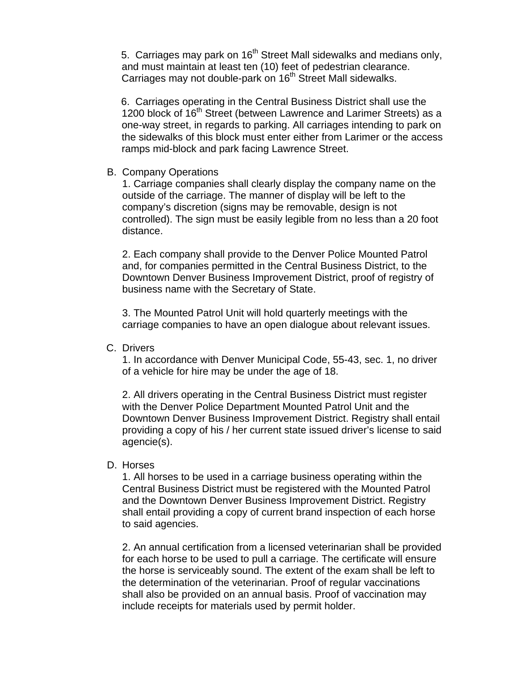5. Carriages may park on 16<sup>th</sup> Street Mall sidewalks and medians only, and must maintain at least ten (10) feet of pedestrian clearance. Carriages may not double-park on 16<sup>th</sup> Street Mall sidewalks.

 6. Carriages operating in the Central Business District shall use the 1200 block of 16<sup>th</sup> Street (between Lawrence and Larimer Streets) as a one-way street, in regards to parking. All carriages intending to park on the sidewalks of this block must enter either from Larimer or the access ramps mid-block and park facing Lawrence Street.

#### B. Company Operations

1. Carriage companies shall clearly display the company name on the outside of the carriage. The manner of display will be left to the company's discretion (signs may be removable, design is not controlled). The sign must be easily legible from no less than a 20 foot distance.

2. Each company shall provide to the Denver Police Mounted Patrol and, for companies permitted in the Central Business District, to the Downtown Denver Business Improvement District, proof of registry of business name with the Secretary of State.

3. The Mounted Patrol Unit will hold quarterly meetings with the carriage companies to have an open dialogue about relevant issues.

C. Drivers

1. In accordance with Denver Municipal Code, 55-43, sec. 1, no driver of a vehicle for hire may be under the age of 18.

2. All drivers operating in the Central Business District must register with the Denver Police Department Mounted Patrol Unit and the Downtown Denver Business Improvement District. Registry shall entail providing a copy of his / her current state issued driver's license to said agencie(s).

#### D. Horses

1. All horses to be used in a carriage business operating within the Central Business District must be registered with the Mounted Patrol and the Downtown Denver Business Improvement District. Registry shall entail providing a copy of current brand inspection of each horse to said agencies.

2. An annual certification from a licensed veterinarian shall be provided for each horse to be used to pull a carriage. The certificate will ensure the horse is serviceably sound. The extent of the exam shall be left to the determination of the veterinarian. Proof of regular vaccinations shall also be provided on an annual basis. Proof of vaccination may include receipts for materials used by permit holder.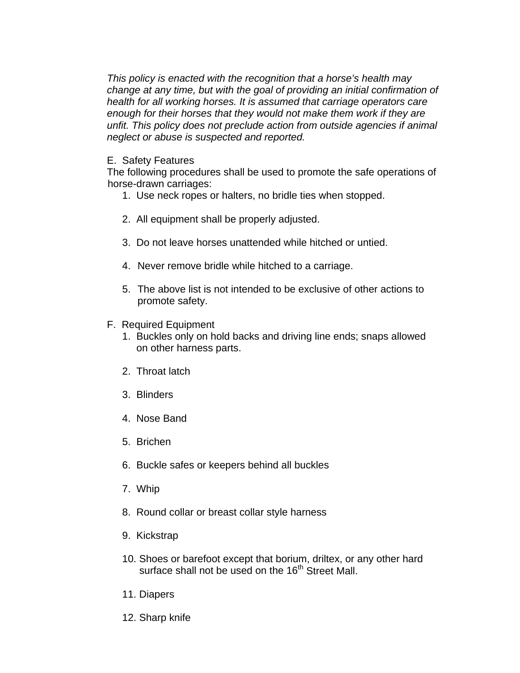*This policy is enacted with the recognition that a horse's health may change at any time, but with the goal of providing an initial confirmation of health for all working horses. It is assumed that carriage operators care enough for their horses that they would not make them work if they are unfit. This policy does not preclude action from outside agencies if animal neglect or abuse is suspected and reported.* 

#### E. Safety Features

 The following procedures shall be used to promote the safe operations of horse-drawn carriages:

- 1. Use neck ropes or halters, no bridle ties when stopped.
- 2. All equipment shall be properly adjusted.
- 3. Do not leave horses unattended while hitched or untied.
- 4. Never remove bridle while hitched to a carriage.
- 5. The above list is not intended to be exclusive of other actions to promote safety.
- F. Required Equipment
	- 1. Buckles only on hold backs and driving line ends; snaps allowed on other harness parts.
	- 2. Throat latch
	- 3. Blinders
	- 4. Nose Band
	- 5. Brichen
	- 6. Buckle safes or keepers behind all buckles
	- 7. Whip
	- 8. Round collar or breast collar style harness
	- 9. Kickstrap
	- 10. Shoes or barefoot except that borium, driltex, or any other hard surface shall not be used on the 16<sup>th</sup> Street Mall.
	- 11. Diapers
	- 12. Sharp knife